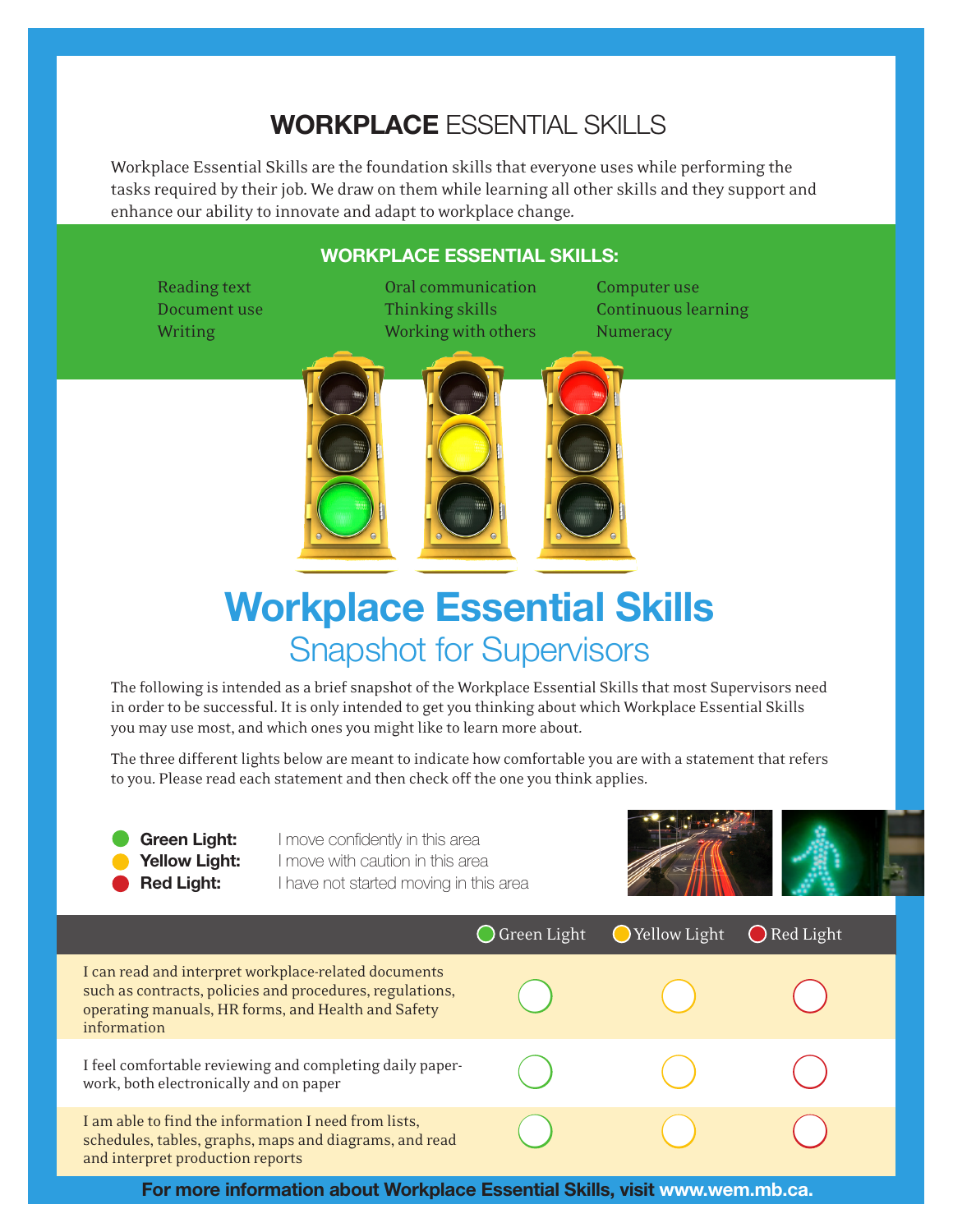## **Workplace** Essential Skills

Workplace Essential Skills are the foundation skills that everyone uses while performing the tasks required by their job. We draw on them while learning all other skills and they support and enhance our ability to innovate and adapt to workplace change.

## **Workplace Essential Skills:**

Reading text **Communication** Computer use Document use Thinking skills Continuous learning Writing Working Working with others Numeracy



## **Workplace Essential Skills**  Snapshot for Supervisors

The following is intended as a brief snapshot of the Workplace Essential Skills that most Supervisors need in order to be successful. It is only intended to get you thinking about which Workplace Essential Skills you may use most, and which ones you might like to learn more about.

The three different lights below are meant to indicate how comfortable you are with a statement that refers to you. Please read each statement and then check off the one you think applies.

**Green Light:** I move confidently in this area **Yellow Light:** I move with caution in this area **Red Light:** I have not started moving in this area



|                                                                                                                                                                                       | $\bigcirc$ Green Light | ◯ Yellow Light | ◯ Red Light |
|---------------------------------------------------------------------------------------------------------------------------------------------------------------------------------------|------------------------|----------------|-------------|
| I can read and interpret workplace-related documents<br>such as contracts, policies and procedures, regulations,<br>operating manuals, HR forms, and Health and Safety<br>information |                        |                |             |
| I feel comfortable reviewing and completing daily paper-<br>work, both electronically and on paper                                                                                    |                        |                |             |
| I am able to find the information I need from lists,<br>schedules, tables, graphs, maps and diagrams, and read<br>and interpret production reports                                    |                        |                |             |

**For more information about Workplace Essential Skills, visit www.wem.mb.ca.**